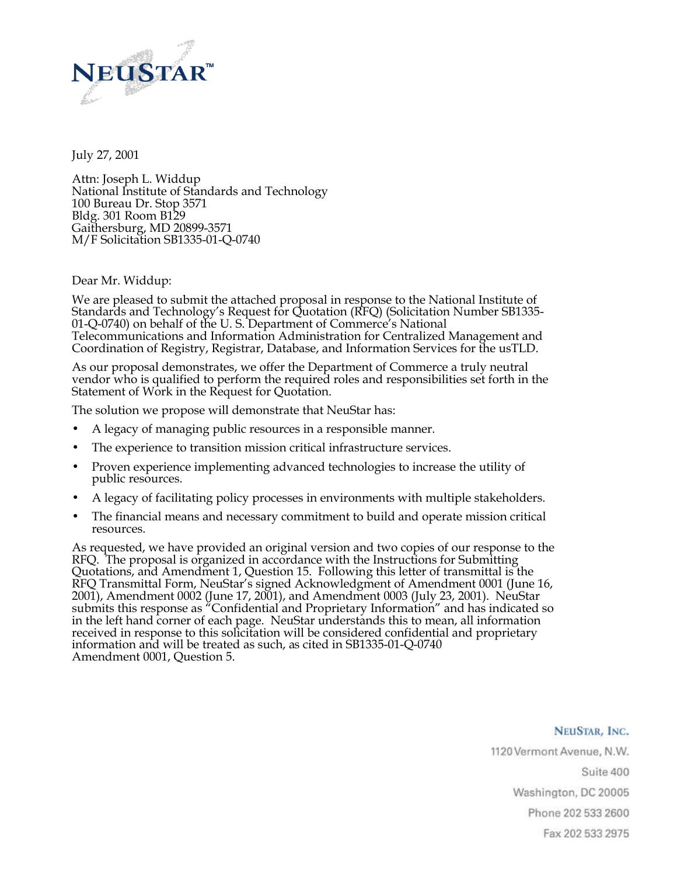

July 27, 2001

Attn: Joseph L. Widdup National Institute of Standards and Technology 100 Bureau Dr. Stop 3571 Bldg. 301 Room B129 Gaithersburg, MD 20899-3571 M/F Solicitation SB1335-01-Q-0740

Dear Mr. Widdup:

We are pleased to submit the attached proposal in response to the National Institute of Standards and Technology's Request for Quotation (RFQ) (Solicitation Number SB1335- 01-Q-0740) on behalf of the U. S. Department of Commerce's National Telecommunications and Information Administration for Centralized Management and Coordination of Registry, Registrar, Database, and Information Services for the usTLD.

As our proposal demonstrates, we offer the Department of Commerce a truly neutral vendor who is qualified to perform the required roles and responsibilities set forth in the Statement of Work in the Request for Quotation.

The solution we propose will demonstrate that NeuStar has:

- A legacy of managing public resources in a responsible manner.
- The experience to transition mission critical infrastructure services.
- Proven experience implementing advanced technologies to increase the utility of public resources.
- A legacy of facilitating policy processes in environments with multiple stakeholders.
- The financial means and necessary commitment to build and operate mission critical resources.

As requested, we have provided an original version and two copies of our response to the RFQ. The proposal is organized in accordance with the Instructions for Submitting Quotations, and Amendment 1, Question 15. Following this letter of transmittal is the RFQ Transmittal Form, NeuStar's signed Acknowledgment of Amendment 0001 (June 16, 2001), Amendment 0002 (June 17, 2001), and Amendment 0003 (July 23, 2001). NeuStar submits this response as "Confidential and Proprietary Information" and has indicated so in the left hand corner of each page. NeuStar understands this to mean, all information received in response to this solicitation will be considered confidential and proprietary information and will be treated as such, as cited in SB1335-01-Q-0740 Amendment 0001, Question 5.

## NEUSTAR, INC.

1120 Vermont Avenue, N.W. Suite 400 Washington, DC 20005 Phone 202 533 2600 Fax 202 533 2975